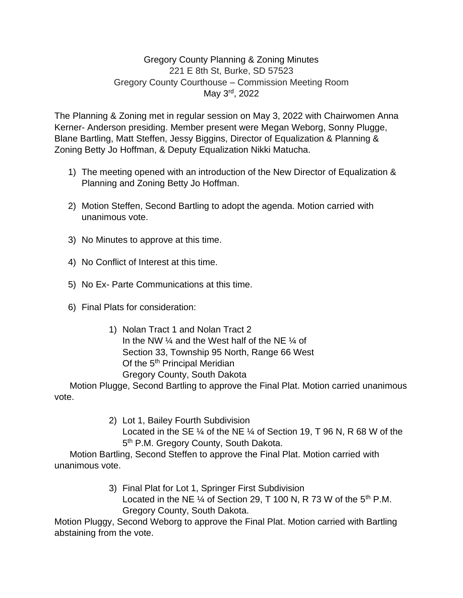## Gregory County Planning & Zoning Minutes 221 E 8th St, Burke, SD 57523 Gregory County Courthouse – Commission Meeting Room May 3rd, 2022

The Planning & Zoning met in regular session on May 3, 2022 with Chairwomen Anna Kerner- Anderson presiding. Member present were Megan Weborg, Sonny Plugge, Blane Bartling, Matt Steffen, Jessy Biggins, Director of Equalization & Planning & Zoning Betty Jo Hoffman, & Deputy Equalization Nikki Matucha.

- 1) The meeting opened with an introduction of the New Director of Equalization & Planning and Zoning Betty Jo Hoffman.
- 2) Motion Steffen, Second Bartling to adopt the agenda. Motion carried with unanimous vote.
- 3) No Minutes to approve at this time.
- 4) No Conflict of Interest at this time.
- 5) No Ex- Parte Communications at this time.
- 6) Final Plats for consideration:

1) Nolan Tract 1 and Nolan Tract 2 In the NW ¼ and the West half of the NE ¼ of Section 33, Township 95 North, Range 66 West Of the 5<sup>th</sup> Principal Meridian Gregory County, South Dakota

 Motion Plugge, Second Bartling to approve the Final Plat. Motion carried unanimous vote.

> 2) Lot 1, Bailey Fourth Subdivision Located in the SE ¼ of the NE ¼ of Section 19, T 96 N, R 68 W of the 5<sup>th</sup> P.M. Gregory County, South Dakota.

 Motion Bartling, Second Steffen to approve the Final Plat. Motion carried with unanimous vote.

> 3) Final Plat for Lot 1, Springer First Subdivision Located in the NE  $\frac{1}{4}$  of Section 29, T 100 N, R 73 W of the 5<sup>th</sup> P.M. Gregory County, South Dakota.

Motion Pluggy, Second Weborg to approve the Final Plat. Motion carried with Bartling abstaining from the vote.